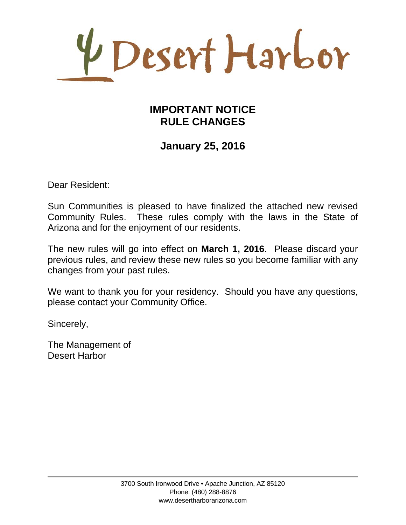4 Desert Harbor

## **IMPORTANT NOTICE RULE CHANGES**

## **January 25, 2016**

Dear Resident:

Sun Communities is pleased to have finalized the attached new revised Community Rules. These rules comply with the laws in the State of Arizona and for the enjoyment of our residents.

The new rules will go into effect on **March 1, 2016**. Please discard your previous rules, and review these new rules so you become familiar with any changes from your past rules.

We want to thank you for your residency. Should you have any questions, please contact your Community Office.

Sincerely,

The Management of Desert Harbor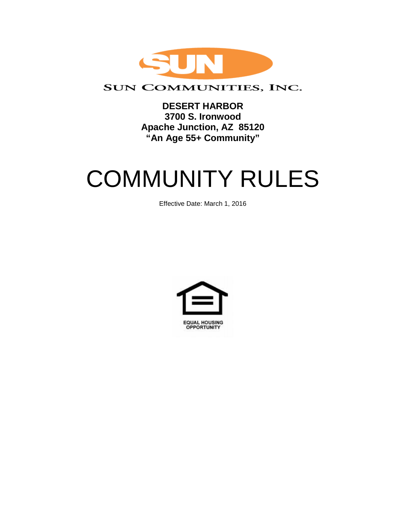

### SUN COMMUNITIES, INC.

**DESERT HARBOR 3700 S. Ironwood Apache Junction, AZ 85120 "An Age 55+ Community"**

# COMMUNITY RULES

Effective Date: March 1, 2016

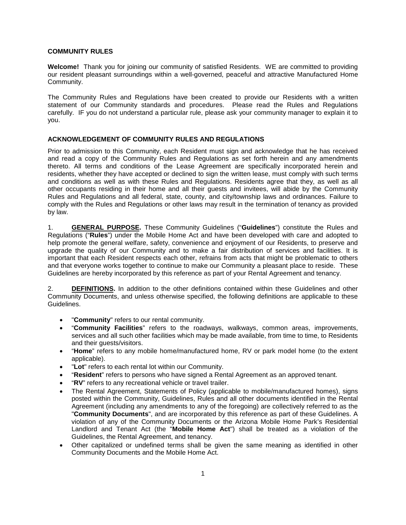#### **COMMUNITY RULES**

**Welcome!** Thank you for joining our community of satisfied Residents. WE are committed to providing our resident pleasant surroundings within a well-governed, peaceful and attractive Manufactured Home Community.

The Community Rules and Regulations have been created to provide our Residents with a written statement of our Community standards and procedures. Please read the Rules and Regulations carefully. IF you do not understand a particular rule, please ask your community manager to explain it to you.

#### **ACKNOWLEDGEMENT OF COMMUNITY RULES AND REGULATIONS**

Prior to admission to this Community, each Resident must sign and acknowledge that he has received and read a copy of the Community Rules and Regulations as set forth herein and any amendments thereto. All terms and conditions of the Lease Agreement are specifically incorporated herein and residents, whether they have accepted or declined to sign the written lease, must comply with such terms and conditions as well as with these Rules and Regulations. Residents agree that they, as well as all other occupants residing in their home and all their guests and invitees, will abide by the Community Rules and Regulations and all federal, state, county, and city/township laws and ordinances. Failure to comply with the Rules and Regulations or other laws may result in the termination of tenancy as provided by law.

1. **GENERAL PURPOSE.** These Community Guidelines ("**Guidelines**") constitute the Rules and Regulations ("**Rules**") under the Mobile Home Act and have been developed with care and adopted to help promote the general welfare, safety, convenience and enjoyment of our Residents, to preserve and upgrade the quality of our Community and to make a fair distribution of services and facilities. It is important that each Resident respects each other, refrains from acts that might be problematic to others and that everyone works together to continue to make our Community a pleasant place to reside. These Guidelines are hereby incorporated by this reference as part of your Rental Agreement and tenancy.

2. **DEFINITIONS.** In addition to the other definitions contained within these Guidelines and other Community Documents, and unless otherwise specified, the following definitions are applicable to these Guidelines.

- "**Community**" refers to our rental community.
- "**Community Facilities**" refers to the roadways, walkways, common areas, improvements, services and all such other facilities which may be made available, from time to time, to Residents and their guests/visitors.
- "**Home**" refers to any mobile home/manufactured home, RV or park model home (to the extent applicable).
- "**Lot**" refers to each rental lot within our Community.
- "**Resident**" refers to persons who have signed a Rental Agreement as an approved tenant.
- "**RV**" refers to any recreational vehicle or travel trailer.
- The Rental Agreement, Statements of Policy (applicable to mobile/manufactured homes), signs posted within the Community, Guidelines, Rules and all other documents identified in the Rental Agreement (including any amendments to any of the foregoing) are collectively referred to as the "**Community Documents**", and are incorporated by this reference as part of these Guidelines. A violation of any of the Community Documents or the Arizona Mobile Home Park's Residential Landlord and Tenant Act (the "**Mobile Home Act**") shall be treated as a violation of the Guidelines, the Rental Agreement, and tenancy.
- Other capitalized or undefined terms shall be given the same meaning as identified in other Community Documents and the Mobile Home Act.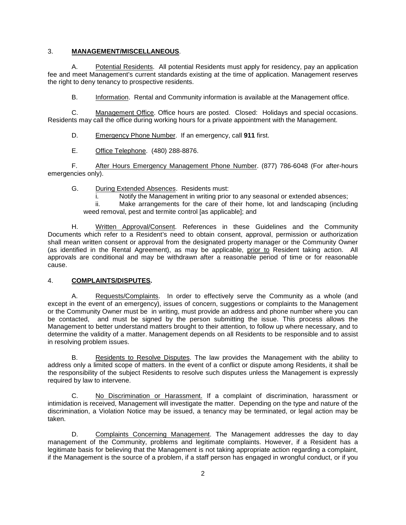#### 3. **MANAGEMENT/MISCELLANEOUS**.

A. Potential Residents. All potential Residents must apply for residency, pay an application fee and meet Management's current standards existing at the time of application. Management reserves the right to deny tenancy to prospective residents.

B. Information. Rental and Community information is available at the Management office.

C. Management Office. Office hours are posted. Closed: Holidays and special occasions. Residents may call the office during working hours for a private appointment with the Management.

D. Emergency Phone Number. If an emergency, call **911** first.

E. Office Telephone. (480) 288-8876.

F. After Hours Emergency Management Phone Number. (877) 786-6048 (For after-hours emergencies only).

G. During Extended Absences. Residents must:

i. Notify the Management in writing prior to any seasonal or extended absences;<br>ii. Make arrangements for the care of their home. lot and landscaping (includi

Make arrangements for the care of their home, lot and landscaping (including weed removal, pest and termite control [as applicable]; and

H. Written Approval/Consent. References in these Guidelines and the Community Documents which refer to a Resident's need to obtain consent, approval, permission or authorization shall mean written consent or approval from the designated property manager or the Community Owner (as identified in the Rental Agreement), as may be applicable, prior to Resident taking action. All approvals are conditional and may be withdrawn after a reasonable period of time or for reasonable cause.

#### 4. **COMPLAINTS/DISPUTES.**

A. Requests/Complaints. In order to effectively serve the Community as a whole (and except in the event of an emergency), issues of concern, suggestions or complaints to the Management or the Community Owner must be in writing, must provide an address and phone number where you can be contacted, and must be signed by the person submitting the issue. This process allows the Management to better understand matters brought to their attention, to follow up where necessary, and to determine the validity of a matter. Management depends on all Residents to be responsible and to assist in resolving problem issues.

B. Residents to Resolve Disputes. The law provides the Management with the ability to address only a limited scope of matters. In the event of a conflict or dispute among Residents, it shall be the responsibility of the subject Residents to resolve such disputes unless the Management is expressly required by law to intervene.

C. No Discrimination or Harassment. If a complaint of discrimination, harassment or intimidation is received, Management will investigate the matter. Depending on the type and nature of the discrimination, a Violation Notice may be issued, a tenancy may be terminated, or legal action may be taken.

D. Complaints Concerning Management. The Management addresses the day to day management of the Community, problems and legitimate complaints. However, if a Resident has a legitimate basis for believing that the Management is not taking appropriate action regarding a complaint, if the Management is the source of a problem, if a staff person has engaged in wrongful conduct, or if you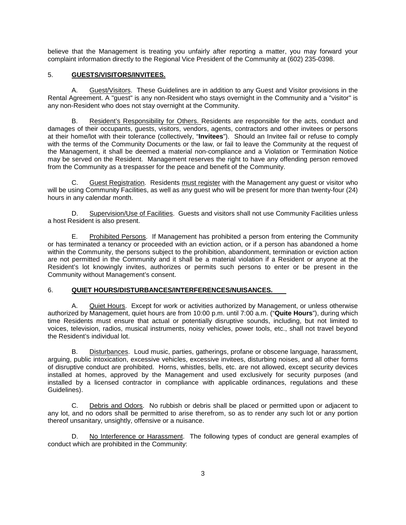believe that the Management is treating you unfairly after reporting a matter, you may forward your complaint information directly to the Regional Vice President of the Community at (602) 235-0398.

#### 5. **GUESTS/VISITORS/INVITEES.**

A. Guest/Visitors. These Guidelines are in addition to any Guest and Visitor provisions in the Rental Agreement. A "guest" is any non-Resident who stays overnight in the Community and a "visitor" is any non-Resident who does not stay overnight at the Community.

B. Resident's Responsibility for Others. Residents are responsible for the acts, conduct and damages of their occupants, guests, visitors, vendors, agents, contractors and other invitees or persons at their home/lot with their tolerance (collectively, "**Invitees**"). Should an Invitee fail or refuse to comply with the terms of the Community Documents or the law, or fail to leave the Community at the request of the Management, it shall be deemed a material non-compliance and a Violation or Termination Notice may be served on the Resident. Management reserves the right to have any offending person removed from the Community as a trespasser for the peace and benefit of the Community.

C. Guest Registration. Residents must register with the Management any guest or visitor who will be using Community Facilities, as well as any guest who will be present for more than twenty-four (24) hours in any calendar month.

D. Supervision/Use of Facilities. Guests and visitors shall not use Community Facilities unless a host Resident is also present.

E. Prohibited Persons. If Management has prohibited a person from entering the Community or has terminated a tenancy or proceeded with an eviction action, or if a person has abandoned a home within the Community, the persons subject to the prohibition, abandonment, termination or eviction action are not permitted in the Community and it shall be a material violation if a Resident or anyone at the Resident's lot knowingly invites, authorizes or permits such persons to enter or be present in the Community without Management's consent.

#### 6. **QUIET HOURS/DISTURBANCES/INTERFERENCES/NUISANCES.**

A. Quiet Hours. Except for work or activities authorized by Management, or unless otherwise authorized by Management, quiet hours are from 10:00 p.m. until 7:00 a.m. ("**Quite Hours**"), during which time Residents must ensure that actual or potentially disruptive sounds, including, but not limited to voices, television, radios, musical instruments, noisy vehicles, power tools, etc., shall not travel beyond the Resident's individual lot.

B. Disturbances. Loud music, parties, gatherings, profane or obscene language, harassment, arguing, public intoxication, excessive vehicles, excessive invitees, disturbing noises, and all other forms of disruptive conduct are prohibited. Horns, whistles, bells, etc. are not allowed, except security devices installed at homes, approved by the Management and used exclusively for security purposes (and installed by a licensed contractor in compliance with applicable ordinances, regulations and these Guidelines).

C. Debris and Odors. No rubbish or debris shall be placed or permitted upon or adjacent to any lot, and no odors shall be permitted to arise therefrom, so as to render any such lot or any portion thereof unsanitary, unsightly, offensive or a nuisance.

D. No Interference or Harassment. The following types of conduct are general examples of conduct which are prohibited in the Community: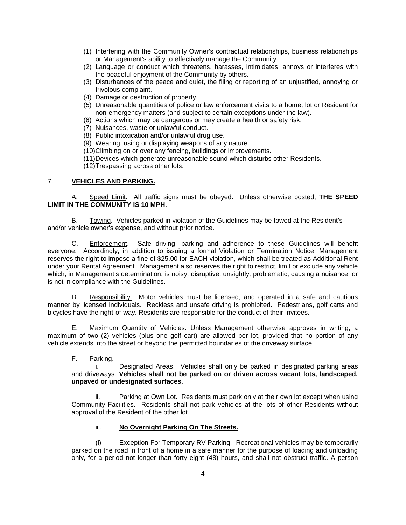- (1) Interfering with the Community Owner's contractual relationships, business relationships or Management's ability to effectively manage the Community.
- (2) Language or conduct which threatens, harasses, intimidates, annoys or interferes with the peaceful enjoyment of the Community by others.
- (3) Disturbances of the peace and quiet, the filing or reporting of an unjustified, annoying or frivolous complaint.
- (4) Damage or destruction of property.
- (5) Unreasonable quantities of police or law enforcement visits to a home, lot or Resident for non-emergency matters (and subject to certain exceptions under the law).
- (6) Actions which may be dangerous or may create a health or safety risk.
- (7) Nuisances, waste or unlawful conduct.
- (8) Public intoxication and/or unlawful drug use.
- (9) Wearing, using or displaying weapons of any nature.
- (10)Climbing on or over any fencing, buildings or improvements.
- (11)Devices which generate unreasonable sound which disturbs other Residents.
- (12)Trespassing across other lots.

#### 7. **VEHICLES AND PARKING.**

A. Speed Limit. All traffic signs must be obeyed. Unless otherwise posted, **THE SPEED LIMIT IN THE COMMUNITY IS 10 MPH.**

B. Towing. Vehicles parked in violation of the Guidelines may be towed at the Resident's and/or vehicle owner's expense, and without prior notice.

C. Enforcement. Safe driving, parking and adherence to these Guidelines will benefit everyone. Accordingly, in addition to issuing a formal Violation or Termination Notice, Management reserves the right to impose a fine of \$25.00 for EACH violation, which shall be treated as Additional Rent under your Rental Agreement. Management also reserves the right to restrict, limit or exclude any vehicle which, in Management's determination, is noisy, disruptive, unsightly, problematic, causing a nuisance, or is not in compliance with the Guidelines.

D. Responsibility. Motor vehicles must be licensed, and operated in a safe and cautious manner by licensed individuals. Reckless and unsafe driving is prohibited. Pedestrians, golf carts and bicycles have the right-of-way. Residents are responsible for the conduct of their Invitees.

E. Maximum Quantity of Vehicles. Unless Management otherwise approves in writing, a maximum of two (2) vehicles (plus one golf cart) are allowed per lot, provided that no portion of any vehicle extends into the street or beyond the permitted boundaries of the driveway surface.

F. Parking.

i. Designated Areas. Vehicles shall only be parked in designated parking areas and driveways. **Vehicles shall not be parked on or driven across vacant lots, landscaped, unpaved or undesignated surfaces.**

ii. Parking at Own Lot. Residents must park only at their own lot except when using Community Facilities. Residents shall not park vehicles at the lots of other Residents without approval of the Resident of the other lot.

#### iii. **No Overnight Parking On The Streets.**

(i) Exception For Temporary RV Parking. Recreational vehicles may be temporarily parked on the road in front of a home in a safe manner for the purpose of loading and unloading only, for a period not longer than forty eight (48) hours, and shall not obstruct traffic. A person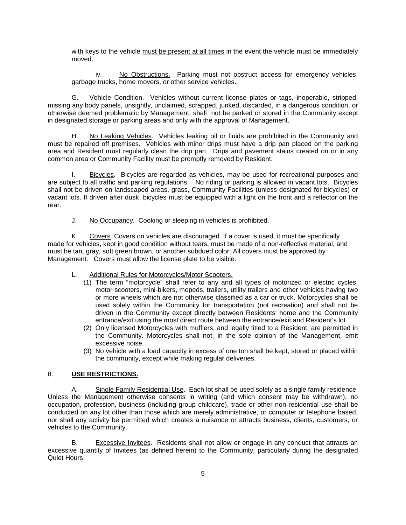with keys to the vehicle must be present at all times in the event the vehicle must be immediately moved.

iv. No Obstructions. Parking must not obstruct access for emergency vehicles, garbage trucks, home movers, or other service vehicles**.**

G. Vehicle Condition. Vehicles without current license plates or tags, inoperable, stripped, missing any body panels, unsightly, unclaimed, scrapped, junked, discarded, in a dangerous condition, or otherwise deemed problematic by Management, shall not be parked or stored in the Community except in designated storage or parking areas and only with the approval of Management.

H. No Leaking Vehicles. Vehicles leaking oil or fluids are prohibited in the Community and must be repaired off premises. Vehicles with minor drips must have a drip pan placed on the parking area and Resident must regularly clean the drip pan. Drips and pavement stains created on or in any common area or Community Facility must be promptly removed by Resident.

I. Bicycles. Bicycles are regarded as vehicles, may be used for recreational purposes and are subject to all traffic and parking regulations. No riding or parking is allowed in vacant lots. Bicycles shall not be driven on landscaped areas, grass, Community Facilities (unless designated for bicycles) or vacant lots. If driven after dusk, bicycles must be equipped with a light on the front and a reflector on the rear.

J. No Occupancy. Cooking or sleeping in vehicles is prohibited.

K. Covers. Covers on vehicles are discouraged. If a cover is used, it must be specifically made for vehicles, kept in good condition without tears, must be made of a non-reflective material, and must be tan, gray, soft green brown, or another subdued color. All covers must be approved by Management. Covers must allow the license plate to be visible.

- L. Additional Rules for Motorcycles/Motor Scooters.
	- (1) The term "motorcycle" shall refer to any and all types of motorized or electric cycles, motor scooters, mini-bikers, mopeds, trailers, utility trailers and other vehicles having two or more wheels which are not otherwise classified as a car or truck. Motorcycles shall be used solely within the Community for transportation (not recreation) and shall not be driven in the Community except directly between Residents' home and the Community entrance/exit using the most direct route between the entrance/exit and Resident's lot.
	- (2) Only licensed Motorcycles with mufflers, and legally titled to a Resident, are permitted in the Community. Motorcycles shall not, in the sole opinion of the Management, emit excessive noise.
	- (3) No vehicle with a load capacity in excess of one ton shall be kept, stored or placed within the community, except while making regular deliveries.

#### 8. **USE RESTRICTIONS.**

A. Single Family Residential Use. Each lot shall be used solely as a single family residence. Unless the Management otherwise consents in writing (and which consent may be withdrawn), no occupation, profession, business (including group childcare), trade or other non-residential use shall be conducted on any lot other than those which are merely administrative, or computer or telephone based, nor shall any activity be permitted which creates a nuisance or attracts business, clients, customers, or vehicles to the Community.

B. Excessive Invitees. Residents shall not allow or engage in any conduct that attracts an excessive quantity of Invitees (as defined herein) to the Community, particularly during the designated Quiet Hours.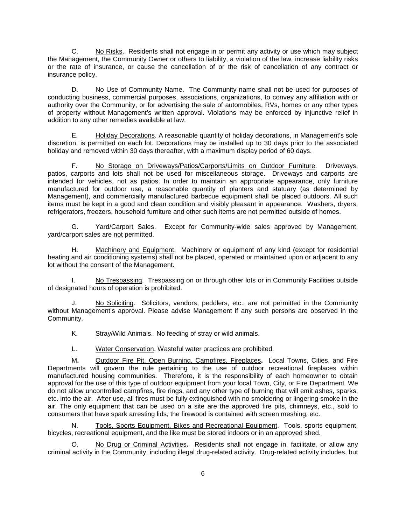C. No Risks. Residents shall not engage in or permit any activity or use which may subject the Management, the Community Owner or others to liability, a violation of the law, increase liability risks or the rate of insurance, or cause the cancellation of or the risk of cancellation of any contract or insurance policy.

D. No Use of Community Name. The Community name shall not be used for purposes of conducting business, commercial purposes, associations, organizations, to convey any affiliation with or authority over the Community, or for advertising the sale of automobiles, RVs, homes or any other types of property without Management's written approval. Violations may be enforced by injunctive relief in addition to any other remedies available at law.

E. Holiday Decorations. A reasonable quantity of holiday decorations, in Management's sole discretion, is permitted on each lot. Decorations may be installed up to 30 days prior to the associated holiday and removed within 30 days thereafter, with a maximum display period of 60 days.

F. No Storage on Driveways/Patios/Carports/Limits on Outdoor Furniture. Driveways, patios, carports and lots shall not be used for miscellaneous storage. Driveways and carports are intended for vehicles, not as patios. In order to maintain an appropriate appearance, only furniture manufactured for outdoor use, a reasonable quantity of planters and statuary (as determined by Management), and commercially manufactured barbecue equipment shall be placed outdoors. All such items must be kept in a good and clean condition and visibly pleasant in appearance. Washers, dryers, refrigerators, freezers, household furniture and other such items are not permitted outside of homes.

G. Yard/Carport Sales. Except for Community-wide sales approved by Management, yard/carport sales are not permitted.

H. Machinery and Equipment. Machinery or equipment of any kind (except for residential heating and air conditioning systems) shall not be placed, operated or maintained upon or adjacent to any lot without the consent of the Management.

I. No Trespassing. Trespassing on or through other lots or in Community Facilities outside of designated hours of operation is prohibited.

J. No Soliciting. Solicitors, vendors, peddlers, etc., are not permitted in the Community without Management's approval. Please advise Management if any such persons are observed in the Community.

K. Stray/Wild Animals. No feeding of stray or wild animals.

L. Water Conservation. Wasteful water practices are prohibited.

M**.** Outdoor Fire Pit, Open Burning, Campfires, Fireplaces**.** Local Towns, Cities, and Fire Departments will govern the rule pertaining to the use of outdoor recreational fireplaces within manufactured housing communities. Therefore, it is the responsibility of each homeowner to obtain approval for the use of this type of outdoor equipment from your local Town, City, or Fire Department. We do not allow uncontrolled campfires, fire rings, and any other type of burning that will emit ashes, sparks, etc. into the air. After use, all fires must be fully extinguished with no smoldering or lingering smoke in the air. The only equipment that can be used on a site are the approved fire pits, chimneys, etc., sold to consumers that have spark arresting lids, the firewood is contained with screen meshing, etc.

N. Tools, Sports Equipment, Bikes and Recreational Equipment. Tools, sports equipment, bicycles, recreational equipment, and the like must be stored indoors or in an approved shed.

O. No Drug or Criminal Activities**.** Residents shall not engage in, facilitate, or allow any criminal activity in the Community, including illegal drug-related activity. Drug-related activity includes, but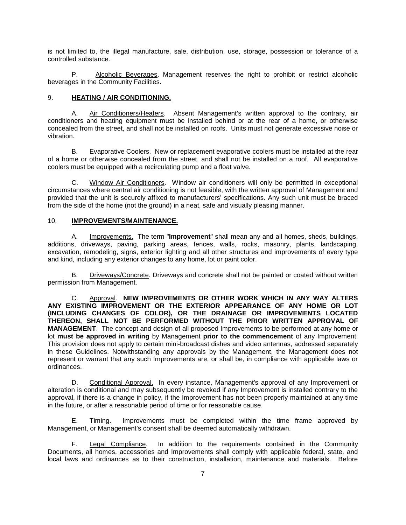is not limited to, the illegal manufacture, sale, distribution, use, storage, possession or tolerance of a controlled substance.

P. Alcoholic Beverages. Management reserves the right to prohibit or restrict alcoholic beverages in the Community Facilities.

#### 9. **HEATING / AIR CONDITIONING.**

A. Air Conditioners/Heaters. Absent Management's written approval to the contrary, air conditioners and heating equipment must be installed behind or at the rear of a home, or otherwise concealed from the street, and shall not be installed on roofs. Units must not generate excessive noise or vibration.

B. Evaporative Coolers. New or replacement evaporative coolers must be installed at the rear of a home or otherwise concealed from the street, and shall not be installed on a roof. All evaporative coolers must be equipped with a recirculating pump and a float valve.

C. Window Air Conditioners. Window air conditioners will only be permitted in exceptional circumstances where central air conditioning is not feasible, with the written approval of Management and provided that the unit is securely affixed to manufacturers' specifications. Any such unit must be braced from the side of the home (not the ground) in a neat, safe and visually pleasing manner.

#### 10. **IMPROVEMENTS/MAINTENANCE.**

A. Improvements. The term "**Improvement**" shall mean any and all homes, sheds, buildings, additions, driveways, paving, parking areas, fences, walls, rocks, masonry, plants, landscaping, excavation, remodeling, signs, exterior lighting and all other structures and improvements of every type and kind, including any exterior changes to any home, lot or paint color.

B. Driveways/Concrete. Driveways and concrete shall not be painted or coated without written permission from Management.

C. Approval. **NEW IMPROVEMENTS OR OTHER WORK WHICH IN ANY WAY ALTERS ANY EXISTING IMPROVEMENT OR THE EXTERIOR APPEARANCE OF ANY HOME OR LOT (INCLUDING CHANGES OF COLOR), OR THE DRAINAGE OR IMPROVEMENTS LOCATED THEREON, SHALL NOT BE PERFORMED WITHOUT THE PRIOR WRITTEN APPROVAL OF MANAGEMENT**. The concept and design of all proposed Improvements to be performed at any home or lot **must be approved in writing** by Management **prior to the commencement** of any Improvement. This provision does not apply to certain mini-broadcast dishes and video antennas, addressed separately in these Guidelines. Notwithstanding any approvals by the Management, the Management does not represent or warrant that any such Improvements are, or shall be, in compliance with applicable laws or ordinances.

D. Conditional Approval. In every instance, Management's approval of any Improvement or alteration is conditional and may subsequently be revoked if any Improvement is installed contrary to the approval, if there is a change in policy, if the Improvement has not been properly maintained at any time in the future, or after a reasonable period of time or for reasonable cause.

E. Timing. Improvements must be completed within the time frame approved by Management, or Management's consent shall be deemed automatically withdrawn.

F. Legal Compliance. In addition to the requirements contained in the Community Documents, all homes, accessories and Improvements shall comply with applicable federal, state, and local laws and ordinances as to their construction, installation, maintenance and materials. Before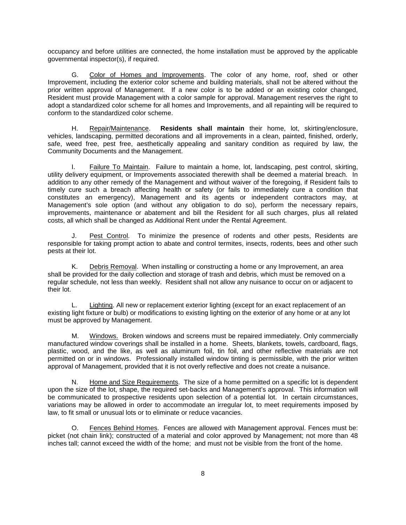occupancy and before utilities are connected, the home installation must be approved by the applicable governmental inspector(s), if required.

G. Color of Homes and Improvements. The color of any home, roof, shed or other Improvement, including the exterior color scheme and building materials, shall not be altered without the prior written approval of Management. If a new color is to be added or an existing color changed, Resident must provide Management with a color sample for approval. Management reserves the right to adopt a standardized color scheme for all homes and Improvements, and all repainting will be required to conform to the standardized color scheme.

H. Repair/Maintenance. **Residents shall maintain** their home, lot, skirting/enclosure, vehicles, landscaping, permitted decorations and all improvements in a clean, painted, finished, orderly, safe, weed free, pest free, aesthetically appealing and sanitary condition as required by law, the Community Documents and the Management.

I. Failure To Maintain. Failure to maintain a home, lot, landscaping, pest control, skirting, utility delivery equipment, or Improvements associated therewith shall be deemed a material breach. In addition to any other remedy of the Management and without waiver of the foregoing, if Resident fails to timely cure such a breach affecting health or safety (or fails to immediately cure a condition that constitutes an emergency), Management and its agents or independent contractors may, at Management's sole option (and without any obligation to do so), perform the necessary repairs, improvements, maintenance or abatement and bill the Resident for all such charges, plus all related costs, all which shall be changed as Additional Rent under the Rental Agreement.

Pest Control. To minimize the presence of rodents and other pests, Residents are responsible for taking prompt action to abate and control termites, insects, rodents, bees and other such pests at their lot.

K. Debris Removal. When installing or constructing a home or any Improvement, an area shall be provided for the daily collection and storage of trash and debris, which must be removed on a regular schedule, not less than weekly. Resident shall not allow any nuisance to occur on or adjacent to their lot.

L. Lighting. All new or replacement exterior lighting (except for an exact replacement of an existing light fixture or bulb) or modifications to existing lighting on the exterior of any home or at any lot must be approved by Management.

M. Windows. Broken windows and screens must be repaired immediately. Only commercially manufactured window coverings shall be installed in a home. Sheets, blankets, towels, cardboard, flags, plastic, wood, and the like, as well as aluminum foil, tin foil, and other reflective materials are not permitted on or in windows. Professionally installed window tinting is permissible, with the prior written approval of Management, provided that it is not overly reflective and does not create a nuisance.

N. Home and Size Requirements. The size of a home permitted on a specific lot is dependent upon the size of the lot, shape, the required set-backs and Management's approval. This information will be communicated to prospective residents upon selection of a potential lot. In certain circumstances, variations may be allowed in order to accommodate an irregular lot, to meet requirements imposed by law, to fit small or unusual lots or to eliminate or reduce vacancies.

O. Fences Behind Homes. Fences are allowed with Management approval. Fences must be: picket (not chain link); constructed of a material and color approved by Management; not more than 48 inches tall; cannot exceed the width of the home; and must not be visible from the front of the home.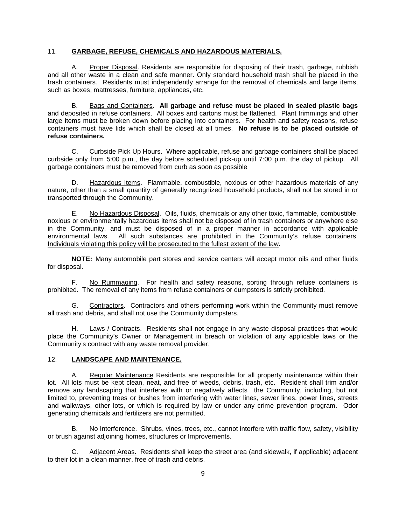#### 11. **GARBAGE, REFUSE, CHEMICALS AND HAZARDOUS MATERIALS.**

A. Proper Disposal. Residents are responsible for disposing of their trash, garbage, rubbish and all other waste in a clean and safe manner. Only standard household trash shall be placed in the trash containers. Residents must independently arrange for the removal of chemicals and large items, such as boxes, mattresses, furniture, appliances, etc.

B. Bags and Containers. **All garbage and refuse must be placed in sealed plastic bags** and deposited in refuse containers. All boxes and cartons must be flattened. Plant trimmings and other large items must be broken down before placing into containers. For health and safety reasons, refuse containers must have lids which shall be closed at all times. **No refuse is to be placed outside of refuse containers.**

C. Curbside Pick Up Hours. Where applicable, refuse and garbage containers shall be placed curbside only from 5:00 p.m., the day before scheduled pick-up until 7:00 p.m. the day of pickup. All garbage containers must be removed from curb as soon as possible

D. Hazardous Items. Flammable, combustible, noxious or other hazardous materials of any nature, other than a small quantity of generally recognized household products, shall not be stored in or transported through the Community.

E. No Hazardous Disposal. Oils, fluids, chemicals or any other toxic, flammable, combustible, noxious or environmentally hazardous items shall not be disposed of in trash containers or anywhere else in the Community, and must be disposed of in a proper manner in accordance with applicable environmental laws. All such substances are prohibited in the Community's refuse containers. Individuals violating this policy will be prosecuted to the fullest extent of the law.

**NOTE:** Many automobile part stores and service centers will accept motor oils and other fluids for disposal.

F. No Rummaging. For health and safety reasons, sorting through refuse containers is prohibited. The removal of any items from refuse containers or dumpsters is strictly prohibited.

G. Contractors. Contractors and others performing work within the Community must remove all trash and debris, and shall not use the Community dumpsters.

H. Laws / Contracts. Residents shall not engage in any waste disposal practices that would place the Community's Owner or Management in breach or violation of any applicable laws or the Community's contract with any waste removal provider.

#### 12. **LANDSCAPE AND MAINTENANCE.**

A. Regular Maintenance Residents are responsible for all property maintenance within their lot. All lots must be kept clean, neat, and free of weeds, debris, trash, etc. Resident shall trim and/or remove any landscaping that interferes with or negatively affects the Community, including, but not limited to, preventing trees or bushes from interfering with water lines, sewer lines, power lines, streets and walkways, other lots, or which is required by law or under any crime prevention program. Odor generating chemicals and fertilizers are not permitted.

B. No Interference. Shrubs, vines, trees, etc., cannot interfere with traffic flow, safety, visibility or brush against adjoining homes, structures or Improvements.

C. Adjacent Areas. Residents shall keep the street area (and sidewalk, if applicable) adjacent to their lot in a clean manner, free of trash and debris.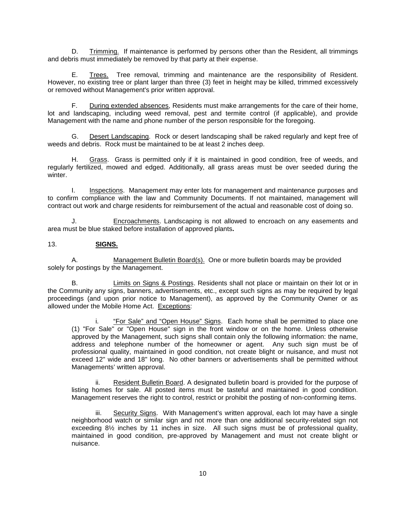D. Trimming. If maintenance is performed by persons other than the Resident, all trimmings and debris must immediately be removed by that party at their expense.

E. Trees. Tree removal, trimming and maintenance are the responsibility of Resident. However, no existing tree or plant larger than three (3) feet in height may be killed, trimmed excessively or removed without Management's prior written approval.

F. During extended absences, Residents must make arrangements for the care of their home, lot and landscaping, including weed removal, pest and termite control (if applicable), and provide Management with the name and phone number of the person responsible for the foregoing.

G. Desert Landscaping. Rock or desert landscaping shall be raked regularly and kept free of weeds and debris. Rock must be maintained to be at least 2 inches deep.

H. Grass. Grass is permitted only if it is maintained in good condition, free of weeds, and regularly fertilized, mowed and edged. Additionally, all grass areas must be over seeded during the winter.

I. Inspections. Management may enter lots for management and maintenance purposes and to confirm compliance with the law and Community Documents. If not maintained, management will contract out work and charge residents for reimbursement of the actual and reasonable cost of doing so.

Encroachments. Landscaping is not allowed to encroach on any easements and area must be blue staked before installation of approved plants**.**

#### 13. **SIGNS.**

A. Management Bulletin Board(s). One or more bulletin boards may be provided solely for postings by the Management.

B. Limits on Signs & Postings. Residents shall not place or maintain on their lot or in the Community any signs, banners, advertisements, etc., except such signs as may be required by legal proceedings (and upon prior notice to Management), as approved by the Community Owner or as allowed under the Mobile Home Act. Exceptions:

i. "For Sale" and "Open House" Signs. Each home shall be permitted to place one (1) "For Sale" or "Open House" sign in the front window or on the home. Unless otherwise approved by the Management, such signs shall contain only the following information: the name, address and telephone number of the homeowner or agent. Any such sign must be of professional quality, maintained in good condition, not create blight or nuisance, and must not exceed 12" wide and 18" long. No other banners or advertisements shall be permitted without Managements' written approval.

ii. Resident Bulletin Board. A designated bulletin board is provided for the purpose of listing homes for sale. All posted items must be tasteful and maintained in good condition. Management reserves the right to control, restrict or prohibit the posting of non-conforming items.

iii. Security Signs. With Management's written approval, each lot may have a single neighborhood watch or similar sign and not more than one additional security-related sign not exceeding 8½ inches by 11 inches in size. All such signs must be of professional quality, maintained in good condition, pre-approved by Management and must not create blight or nuisance.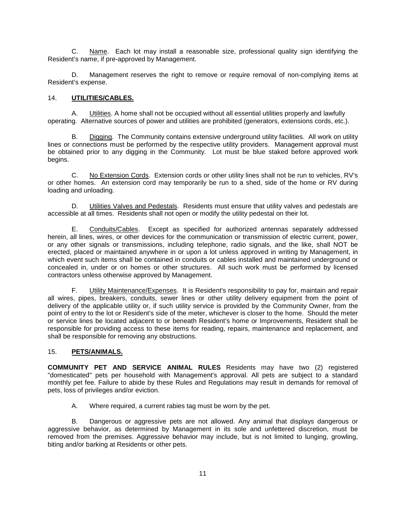C. Name. Each lot may install a reasonable size, professional quality sign identifying the Resident's name, if pre-approved by Management.

D. Management reserves the right to remove or require removal of non-complying items at Resident's expense.

#### 14. **UTILITIES/CABLES.**

A. Utilities. A home shall not be occupied without all essential utilities properly and lawfully operating. Alternative sources of power and utilities are prohibited (generators, extensions cords, etc.).

B. Digging. The Community contains extensive underground utility facilities. All work on utility lines or connections must be performed by the respective utility providers. Management approval must be obtained prior to any digging in the Community. Lot must be blue staked before approved work begins.

C. No Extension Cords. Extension cords or other utility lines shall not be run to vehicles, RV's or other homes. An extension cord may temporarily be run to a shed, side of the home or RV during loading and unloading.

D. Utilities Valves and Pedestals. Residents must ensure that utility valves and pedestals are accessible at all times. Residents shall not open or modify the utility pedestal on their lot.

E. Conduits/Cables. Except as specified for authorized antennas separately addressed herein, all lines, wires, or other devices for the communication or transmission of electric current, power, or any other signals or transmissions, including telephone, radio signals, and the like, shall NOT be erected, placed or maintained anywhere in or upon a lot unless approved in writing by Management, in which event such items shall be contained in conduits or cables installed and maintained underground or concealed in, under or on homes or other structures. All such work must be performed by licensed contractors unless otherwise approved by Management.

F. Utility Maintenance/Expenses. It is Resident's responsibility to pay for, maintain and repair all wires, pipes, breakers, conduits, sewer lines or other utility delivery equipment from the point of delivery of the applicable utility or, if such utility service is provided by the Community Owner, from the point of entry to the lot or Resident's side of the meter, whichever is closer to the home. Should the meter or service lines be located adjacent to or beneath Resident's home or Improvements, Resident shall be responsible for providing access to these items for reading, repairs, maintenance and replacement, and shall be responsible for removing any obstructions.

#### 15. **PETS/ANIMALS.**

**COMMUNITY PET AND SERVICE ANIMAL RULES** Residents may have two (2) registered "domesticated" pets per household with Management's approval. All pets are subject to a standard monthly pet fee. Failure to abide by these Rules and Regulations may result in demands for removal of pets, loss of privileges and/or eviction.

A. Where required, a current rabies tag must be worn by the pet.

B. Dangerous or aggressive pets are not allowed. Any animal that displays dangerous or aggressive behavior, as determined by Management in its sole and unfettered discretion, must be removed from the premises. Aggressive behavior may include, but is not limited to lunging, growling, biting and/or barking at Residents or other pets.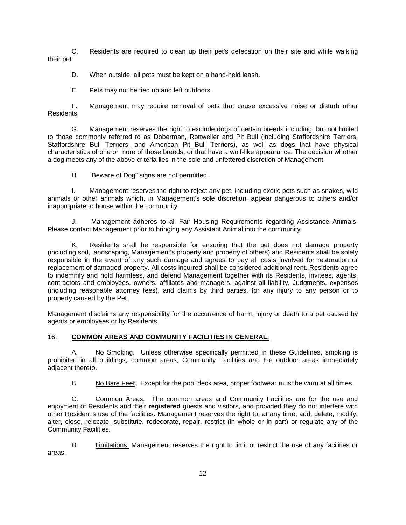C. Residents are required to clean up their pet's defecation on their site and while walking their pet.

D. When outside, all pets must be kept on a hand-held leash.

E. Pets may not be tied up and left outdoors.

F. Management may require removal of pets that cause excessive noise or disturb other Residents.

G. Management reserves the right to exclude dogs of certain breeds including, but not limited to those commonly referred to as Doberman, Rottweiler and Pit Bull (including Staffordshire Terriers, Staffordshire Bull Terriers, and American Pit Bull Terriers), as well as dogs that have physical characteristics of one or more of those breeds, or that have a wolf-like appearance. The decision whether a dog meets any of the above criteria lies in the sole and unfettered discretion of Management.

H. "Beware of Dog" signs are not permitted.

I. Management reserves the right to reject any pet, including exotic pets such as snakes, wild animals or other animals which, in Management's sole discretion, appear dangerous to others and/or inappropriate to house within the community.

J. Management adheres to all Fair Housing Requirements regarding Assistance Animals. Please contact Management prior to bringing any Assistant Animal into the community.

K. Residents shall be responsible for ensuring that the pet does not damage property (including sod, landscaping, Management's property and property of others) and Residents shall be solely responsible in the event of any such damage and agrees to pay all costs involved for restoration or replacement of damaged property. All costs incurred shall be considered additional rent. Residents agree to indemnify and hold harmless, and defend Management together with its Residents, invitees, agents, contractors and employees, owners, affiliates and managers, against all liability, Judgments, expenses (including reasonable attorney fees), and claims by third parties, for any injury to any person or to property caused by the Pet.

Management disclaims any responsibility for the occurrence of harm, injury or death to a pet caused by agents or employees or by Residents.

#### 16. **COMMON AREAS AND COMMUNITY FACILITIES IN GENERAL.**

A. No Smoking. Unless otherwise specifically permitted in these Guidelines, smoking is prohibited in all buildings, common areas, Community Facilities and the outdoor areas immediately adjacent thereto.

B. No Bare Feet. Except for the pool deck area, proper footwear must be worn at all times.

C. Common Areas. The common areas and Community Facilities are for the use and enjoyment of Residents and their **registered** guests and visitors, and provided they do not interfere with other Resident's use of the facilities. Management reserves the right to, at any time, add, delete, modify, alter, close, relocate, substitute, redecorate, repair, restrict (in whole or in part) or regulate any of the Community Facilities.

D. **Limitations.** Management reserves the right to limit or restrict the use of any facilities or areas.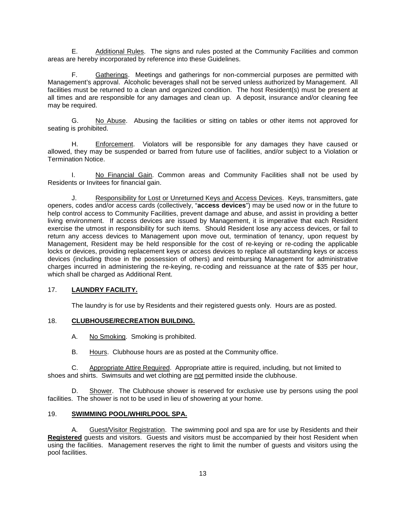E. Additional Rules. The signs and rules posted at the Community Facilities and common areas are hereby incorporated by reference into these Guidelines.

F. Gatherings. Meetings and gatherings for non-commercial purposes are permitted with Management's approval. Alcoholic beverages shall not be served unless authorized by Management. All facilities must be returned to a clean and organized condition. The host Resident(s) must be present at all times and are responsible for any damages and clean up. A deposit, insurance and/or cleaning fee may be required.

G. No Abuse. Abusing the facilities or sitting on tables or other items not approved for seating is prohibited.

H. Enforcement. Violators will be responsible for any damages they have caused or allowed, they may be suspended or barred from future use of facilities, and/or subject to a Violation or Termination Notice.

I. No Financial Gain. Common areas and Community Facilities shall not be used by Residents or Invitees for financial gain.

J. Responsibility for Lost or Unreturned Keys and Access Devices. Keys, transmitters, gate openers, codes and/or access cards (collectively, "**access devices**") may be used now or in the future to help control access to Community Facilities, prevent damage and abuse, and assist in providing a better living environment. If access devices are issued by Management, it is imperative that each Resident exercise the utmost in responsibility for such items. Should Resident lose any access devices, or fail to return any access devices to Management upon move out, termination of tenancy, upon request by Management, Resident may be held responsible for the cost of re-keying or re-coding the applicable locks or devices, providing replacement keys or access devices to replace all outstanding keys or access devices (including those in the possession of others) and reimbursing Management for administrative charges incurred in administering the re-keying, re-coding and reissuance at the rate of \$35 per hour, which shall be charged as Additional Rent.

#### 17. **LAUNDRY FACILITY.**

The laundry is for use by Residents and their registered guests only. Hours are as posted.

#### 18. **CLUBHOUSE/RECREATION BUILDING.**

A. No Smoking. Smoking is prohibited.

B. Hours. Clubhouse hours are as posted at the Community office.

C. Appropriate Attire Required. Appropriate attire is required, including, but not limited to shoes and shirts. Swimsuits and wet clothing are not permitted inside the clubhouse.

D. Shower. The Clubhouse shower is reserved for exclusive use by persons using the pool facilities. The shower is not to be used in lieu of showering at your home.

#### 19. **SWIMMING POOL/WHIRLPOOL SPA.**

A. Guest/Visitor Registration. The swimming pool and spa are for use by Residents and their **Registered** guests and visitors. Guests and visitors must be accompanied by their host Resident when using the facilities. Management reserves the right to limit the number of guests and visitors using the pool facilities.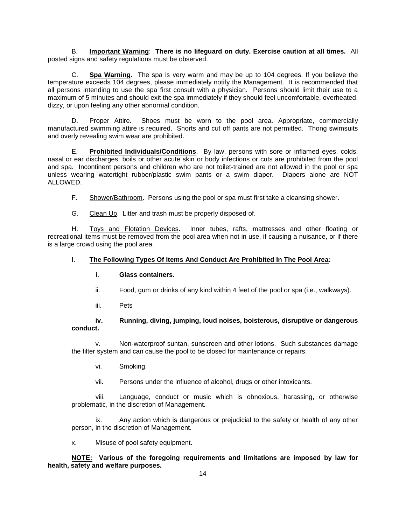B. **Important Warning**: **There is no lifeguard on duty. Exercise caution at all times.** All posted signs and safety regulations must be observed.

C. **Spa Warning**. The spa is very warm and may be up to 104 degrees. If you believe the temperature exceeds 104 degrees, please immediately notify the Management. It is recommended that all persons intending to use the spa first consult with a physician. Persons should limit their use to a maximum of 5 minutes and should exit the spa immediately if they should feel uncomfortable, overheated, dizzy, or upon feeling any other abnormal condition.

D. Proper Attire. Shoes must be worn to the pool area. Appropriate, commercially manufactured swimming attire is required. Shorts and cut off pants are not permitted. Thong swimsuits and overly revealing swim wear are prohibited.

E. **Prohibited Individuals/Conditions**. By law, persons with sore or inflamed eyes, colds, nasal or ear discharges, boils or other acute skin or body infections or cuts are prohibited from the pool and spa. Incontinent persons and children who are not toilet-trained are not allowed in the pool or spa unless wearing watertight rubber/plastic swim pants or a swim diaper. Diapers alone are NOT ALLOWED.

F. Shower/Bathroom. Persons using the pool or spa must first take a cleansing shower.

G. Clean Up. Litter and trash must be properly disposed of.

H. Toys and Flotation Devices. Inner tubes, rafts, mattresses and other floating or recreational items must be removed from the pool area when not in use, if causing a nuisance, or if there is a large crowd using the pool area.

#### I. **The Following Types Of Items And Conduct Are Prohibited In The Pool Area:**

#### **i. Glass containers.**

- ii. Food, gum or drinks of any kind within 4 feet of the pool or spa (i.e., walkways).
- iii. Pets

#### **iv. Running, diving, jumping, loud noises, boisterous, disruptive or dangerous conduct.**

v. Non-waterproof suntan, sunscreen and other lotions. Such substances damage the filter system and can cause the pool to be closed for maintenance or repairs.

vi. Smoking.

vii. Persons under the influence of alcohol, drugs or other intoxicants.

viii. Language, conduct or music which is obnoxious, harassing, or otherwise problematic, in the discretion of Management.

ix. Any action which is dangerous or prejudicial to the safety or health of any other person, in the discretion of Management.

x. Misuse of pool safety equipment.

**NOTE: Various of the foregoing requirements and limitations are imposed by law for health, safety and welfare purposes.**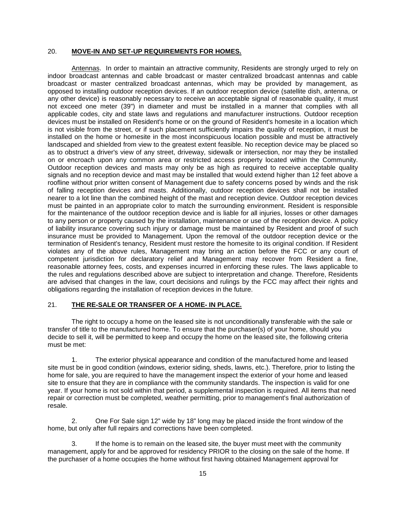#### 20. **MOVE-IN AND SET-UP REQUIREMENTS FOR HOMES.**

Antennas. In order to maintain an attractive community, Residents are strongly urged to rely on indoor broadcast antennas and cable broadcast or master centralized broadcast antennas and cable broadcast or master centralized broadcast antennas, which may be provided by management, as opposed to installing outdoor reception devices. If an outdoor reception device (satellite dish, antenna, or any other device) is reasonably necessary to receive an acceptable signal of reasonable quality, it must not exceed one meter (39") in diameter and must be installed in a manner that complies with all applicable codes, city and state laws and regulations and manufacturer instructions. Outdoor reception devices must be installed on Resident's home or on the ground of Resident's homesite in a location which is not visible from the street, or if such placement sufficiently impairs the quality of reception, it must be installed on the home or homesite in the most inconspicuous location possible and must be attractively landscaped and shielded from view to the greatest extent feasible. No reception device may be placed so as to obstruct a driver's view of any street, driveway, sidewalk or intersection, nor may they be installed on or encroach upon any common area or restricted access property located within the Community. Outdoor reception devices and masts may only be as high as required to receive acceptable quality signals and no reception device and mast may be installed that would extend higher than 12 feet above a roofline without prior written consent of Management due to safety concerns posed by winds and the risk of falling reception devices and masts. Additionally, outdoor reception devices shall not be installed nearer to a lot line than the combined height of the mast and reception device. Outdoor reception devices must be painted in an appropriate color to match the surrounding environment. Resident is responsible for the maintenance of the outdoor reception device and is liable for all injuries, losses or other damages to any person or property caused by the installation, maintenance or use of the reception device. A policy of liability insurance covering such injury or damage must be maintained by Resident and proof of such insurance must be provided to Management. Upon the removal of the outdoor reception device or the termination of Resident's tenancy, Resident must restore the homesite to its original condition. If Resident violates any of the above rules, Management may bring an action before the FCC or any court of competent jurisdiction for declaratory relief and Management may recover from Resident a fine, reasonable attorney fees, costs, and expenses incurred in enforcing these rules. The laws applicable to the rules and regulations described above are subject to interpretation and change. Therefore, Residents are advised that changes in the law, court decisions and rulings by the FCC may affect their rights and obligations regarding the installation of reception devices in the future.

#### 21. **THE RE-SALE OR TRANSFER OF A HOME- IN PLACE.**

The right to occupy a home on the leased site is not unconditionally transferable with the sale or transfer of title to the manufactured home. To ensure that the purchaser(s) of your home, should you decide to sell it, will be permitted to keep and occupy the home on the leased site, the following criteria must be met:

1. The exterior physical appearance and condition of the manufactured home and leased site must be in good condition (windows, exterior siding, sheds, lawns, etc.). Therefore, prior to listing the home for sale, you are required to have the management inspect the exterior of your home and leased site to ensure that they are in compliance with the community standards. The inspection is valid for one year. If your home is not sold within that period, a supplemental inspection is required. All items that need repair or correction must be completed, weather permitting, prior to management's final authorization of resale.

2. One For Sale sign 12" wide by 18" long may be placed inside the front window of the home, but only after full repairs and corrections have been completed.

3. If the home is to remain on the leased site, the buyer must meet with the community management, apply for and be approved for residency PRIOR to the closing on the sale of the home. If the purchaser of a home occupies the home without first having obtained Management approval for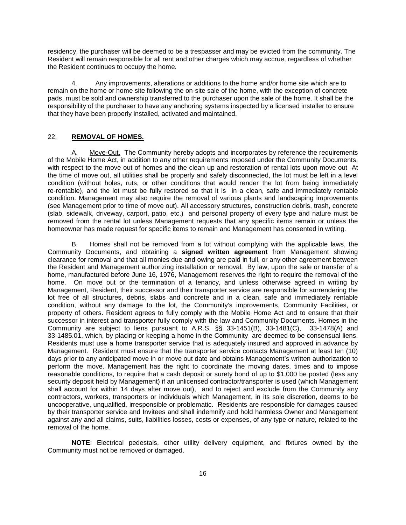residency, the purchaser will be deemed to be a trespasser and may be evicted from the community. The Resident will remain responsible for all rent and other charges which may accrue, regardless of whether the Resident continues to occupy the home.

4. Any improvements, alterations or additions to the home and/or home site which are to remain on the home or home site following the on-site sale of the home, with the exception of concrete pads, must be sold and ownership transferred to the purchaser upon the sale of the home. It shall be the responsibility of the purchaser to have any anchoring systems inspected by a licensed installer to ensure that they have been properly installed, activated and maintained.

#### 22. **REMOVAL OF HOMES.**

A. Move-Out. The Community hereby adopts and incorporates by reference the requirements of the Mobile Home Act, in addition to any other requirements imposed under the Community Documents, with respect to the move out of homes and the clean up and restoration of rental lots upon move out At the time of move out, all utilities shall be properly and safely disconnected, the lot must be left in a level condition (without holes, ruts, or other conditions that would render the lot from being immediately re-rentable), and the lot must be fully restored so that it is in a clean, safe and immediately rentable condition. Management may also require the removal of various plants and landscaping improvements (see Management prior to time of move out). All accessory structures, construction debris, trash, concrete (slab, sidewalk, driveway, carport, patio, etc.) and personal property of every type and nature must be removed from the rental lot unless Management requests that any specific items remain or unless the homeowner has made request for specific items to remain and Management has consented in writing.

B. Homes shall not be removed from a lot without complying with the applicable laws, the Community Documents, and obtaining a **signed written agreement** from Management showing clearance for removal and that all monies due and owing are paid in full, or any other agreement between the Resident and Management authorizing installation or removal. By law, upon the sale or transfer of a home, manufactured before June 16, 1976, Management reserves the right to require the removal of the home. On move out or the termination of a tenancy, and unless otherwise agreed in writing by Management, Resident, their successor and their transporter service are responsible for surrendering the lot free of all structures, debris, slabs and concrete and in a clean, safe and immediately rentable condition, without any damage to the lot, the Community's improvements, Community Facilities, or property of others. Resident agrees to fully comply with the Mobile Home Act and to ensure that their successor in interest and transporter fully comply with the law and Community Documents. Homes in the Community are subject to liens pursuant to A.R.S. §§ 33-1451(B), 33-1481(C), 33-1478(A) and 33-1485.01, which, by placing or keeping a home in the Community are deemed to be consensual liens. Residents must use a home transporter service that is adequately insured and approved in advance by Management. Resident must ensure that the transporter service contacts Management at least ten (10) days prior to any anticipated move in or move out date and obtains Management's written authorization to perform the move. Management has the right to coordinate the moving dates, times and to impose reasonable conditions, to require that a cash deposit or surety bond of up to \$1,000 be posted (less any security deposit held by Management) if an unlicensed contractor/transporter is used (which Management shall account for within 14 days after move out), and to reject and exclude from the Community any contractors, workers, transporters or individuals which Management, in its sole discretion, deems to be uncooperative, unqualified, irresponsible or problematic. Residents are responsible for damages caused by their transporter service and Invitees and shall indemnify and hold harmless Owner and Management against any and all claims, suits, liabilities losses, costs or expenses, of any type or nature, related to the removal of the home.

**NOTE**: Electrical pedestals, other utility delivery equipment, and fixtures owned by the Community must not be removed or damaged.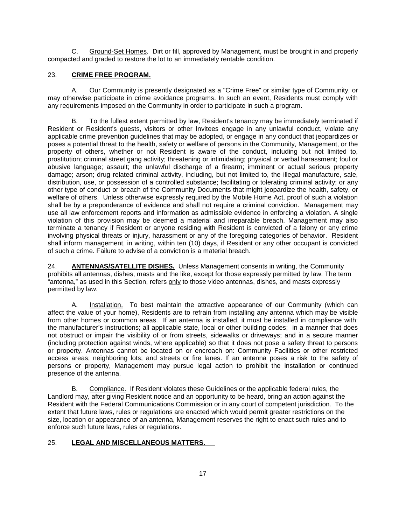C. Ground-Set Homes. Dirt or fill, approved by Management, must be brought in and properly compacted and graded to restore the lot to an immediately rentable condition.

#### 23. **CRIME FREE PROGRAM.**

A. Our Community is presently designated as a "Crime Free" or similar type of Community, or may otherwise participate in crime avoidance programs. In such an event, Residents must comply with any requirements imposed on the Community in order to participate in such a program.

B. To the fullest extent permitted by law, Resident's tenancy may be immediately terminated if Resident or Resident's guests, visitors or other Invitees engage in any unlawful conduct, violate any applicable crime prevention guidelines that may be adopted, or engage in any conduct that jeopardizes or poses a potential threat to the health, safety or welfare of persons in the Community, Management, or the property of others, whether or not Resident is aware of the conduct, including but not limited to, prostitution; criminal street gang activity; threatening or intimidating; physical or verbal harassment; foul or abusive language; assault; the unlawful discharge of a firearm; imminent or actual serious property damage; arson; drug related criminal activity, including, but not limited to, the illegal manufacture, sale, distribution, use, or possession of a controlled substance; facilitating or tolerating criminal activity; or any other type of conduct or breach of the Community Documents that might jeopardize the health, safety, or welfare of others. Unless otherwise expressly required by the Mobile Home Act, proof of such a violation shall be by a preponderance of evidence and shall not require a criminal conviction. Management may use all law enforcement reports and information as admissible evidence in enforcing a violation. A single violation of this provision may be deemed a material and irreparable breach. Management may also terminate a tenancy if Resident or anyone residing with Resident is convicted of a felony or any crime involving physical threats or injury, harassment or any of the foregoing categories of behavior. Resident shall inform management, in writing, within ten (10) days, if Resident or any other occupant is convicted of such a crime. Failure to advise of a conviction is a material breach.

24. **ANTENNAS/SATELLITE DISHES.** Unless Management consents in writing, the Community prohibits all antennas, dishes, masts and the like, except for those expressly permitted by law. The term "antenna," as used in this Section, refers only to those video antennas, dishes, and masts expressly permitted by law.

A. Installation. To best maintain the attractive appearance of our Community (which can affect the value of your home), Residents are to refrain from installing any antenna which may be visible from other homes or common areas. If an antenna is installed, it must be installed in compliance with: the manufacturer's instructions; all applicable state, local or other building codes; in a manner that does not obstruct or impair the visibility of or from streets, sidewalks or driveways; and in a secure manner (including protection against winds, where applicable) so that it does not pose a safety threat to persons or property. Antennas cannot be located on or encroach on: Community Facilities or other restricted access areas; neighboring lots; and streets or fire lanes. If an antenna poses a risk to the safety of persons or property, Management may pursue legal action to prohibit the installation or continued presence of the antenna.

B. Compliance. If Resident violates these Guidelines or the applicable federal rules, the Landlord may, after giving Resident notice and an opportunity to be heard, bring an action against the Resident with the Federal Communications Commission or in any court of competent jurisdiction. To the extent that future laws, rules or regulations are enacted which would permit greater restrictions on the size, location or appearance of an antenna, Management reserves the right to enact such rules and to enforce such future laws, rules or regulations.

#### 25. **LEGAL AND MISCELLANEOUS MATTERS.**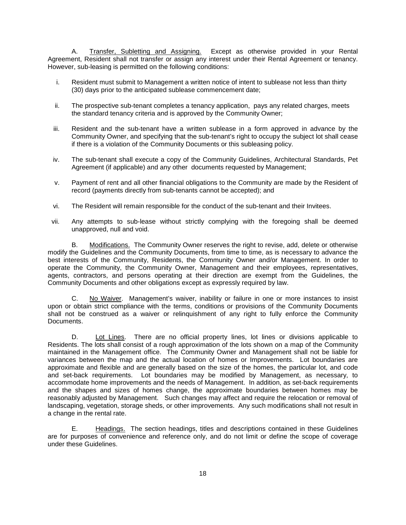A. Transfer, Subletting and Assigning. Except as otherwise provided in your Rental Agreement, Resident shall not transfer or assign any interest under their Rental Agreement or tenancy. However, sub-leasing is permitted on the following conditions:

- i. Resident must submit to Management a written notice of intent to sublease not less than thirty (30) days prior to the anticipated sublease commencement date;
- ii. The prospective sub-tenant completes a tenancy application, pays any related charges, meets the standard tenancy criteria and is approved by the Community Owner;
- iii. Resident and the sub-tenant have a written sublease in a form approved in advance by the Community Owner, and specifying that the sub-tenant's right to occupy the subject lot shall cease if there is a violation of the Community Documents or this subleasing policy.
- iv. The sub-tenant shall execute a copy of the Community Guidelines, Architectural Standards, Pet Agreement (if applicable) and any other documents requested by Management;
- v. Payment of rent and all other financial obligations to the Community are made by the Resident of record (payments directly from sub-tenants cannot be accepted); and
- vi. The Resident will remain responsible for the conduct of the sub-tenant and their Invitees.
- vii. Any attempts to sub-lease without strictly complying with the foregoing shall be deemed unapproved, null and void.

B. Modifications. The Community Owner reserves the right to revise, add, delete or otherwise modify the Guidelines and the Community Documents, from time to time, as is necessary to advance the best interests of the Community, Residents, the Community Owner and/or Management. In order to operate the Community, the Community Owner, Management and their employees, representatives, agents, contractors, and persons operating at their direction are exempt from the Guidelines, the Community Documents and other obligations except as expressly required by law.

C. No Waiver. Management's waiver, inability or failure in one or more instances to insist upon or obtain strict compliance with the terms, conditions or provisions of the Community Documents shall not be construed as a waiver or relinquishment of any right to fully enforce the Community Documents.

D. Lot Lines. There are no official property lines, lot lines or divisions applicable to Residents. The lots shall consist of a rough approximation of the lots shown on a map of the Community maintained in the Management office. The Community Owner and Management shall not be liable for variances between the map and the actual location of homes or Improvements. Lot boundaries are approximate and flexible and are generally based on the size of the homes, the particular lot, and code and set-back requirements. Lot boundaries may be modified by Management, as necessary, to accommodate home improvements and the needs of Management. In addition, as set-back requirements and the shapes and sizes of homes change, the approximate boundaries between homes may be reasonably adjusted by Management. Such changes may affect and require the relocation or removal of landscaping, vegetation, storage sheds, or other improvements. Any such modifications shall not result in a change in the rental rate.

E. Headings. The section headings, titles and descriptions contained in these Guidelines are for purposes of convenience and reference only, and do not limit or define the scope of coverage under these Guidelines.